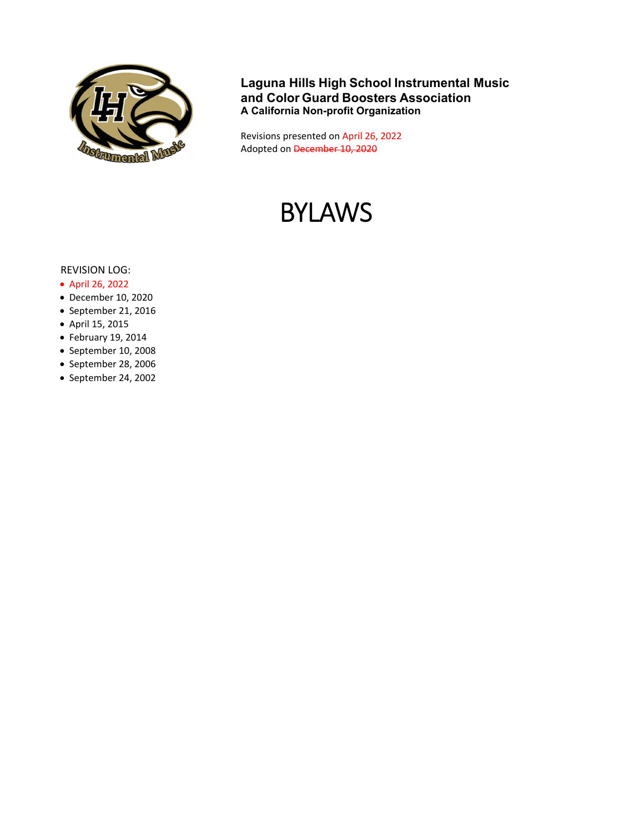

**Laguna Hills High School Instrumental Music and Color Guard Boosters Association A California Non-profit Organization** 

Revisions presented on April 26, 2022 Adopted on December 10, 2020

# BYLAWS

#### REVISION LOG:

- April 26, 2022
- December 10, 2020
- September 21, 2016
- April 15, 2015
- February 19, 2014
- September 10, 2008
- September 28, 2006
- September 24, 2002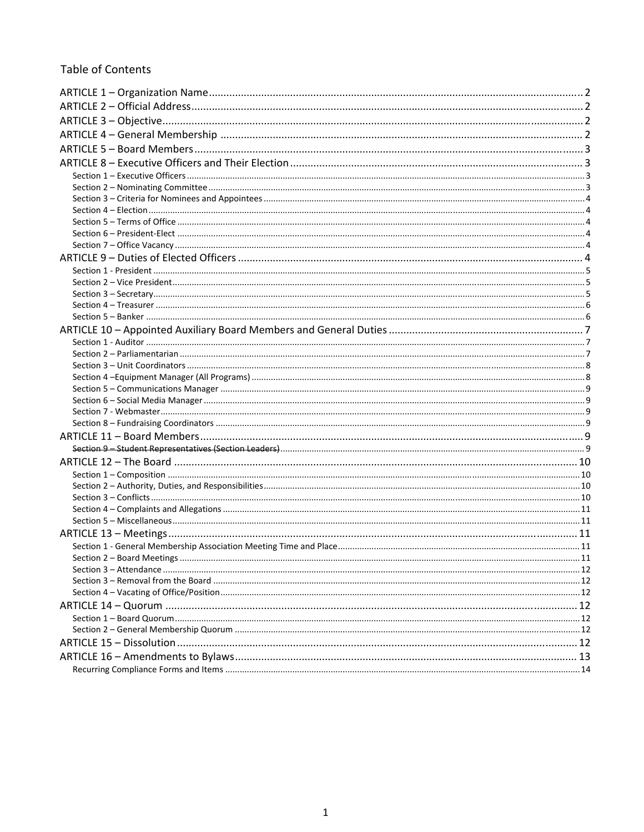## **Table of Contents**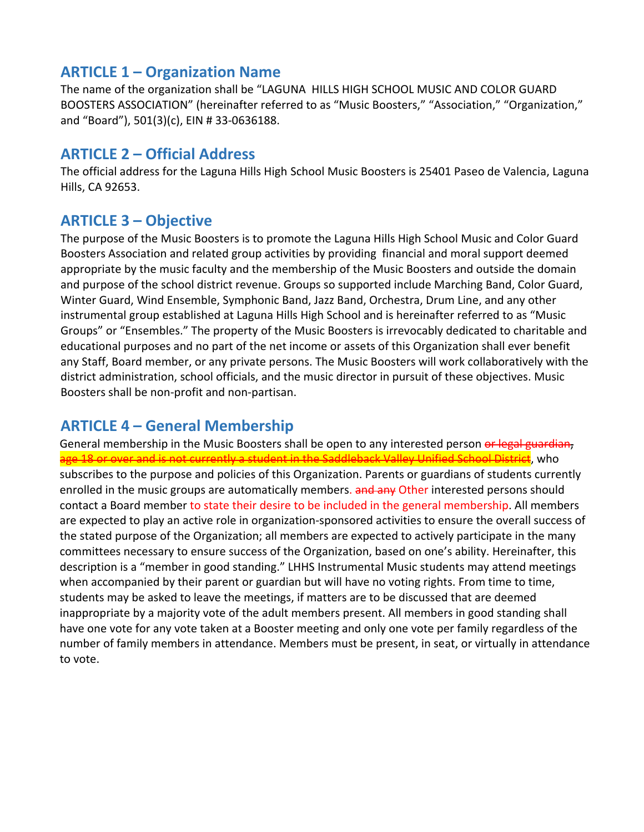# **ARTICLE 1 – Organization Name**

The name of the organization shall be "LAGUNA HILLS HIGH SCHOOL MUSIC AND COLOR GUARD BOOSTERS ASSOCIATION" (hereinafter referred to as "Music Boosters," "Association," "Organization," and "Board"), 501(3)(c), EIN # 33‐0636188.

# **ARTICLE 2 – Official Address**

The official address for the Laguna Hills High School Music Boosters is 25401 Paseo de Valencia, Laguna Hills, CA 92653.

# **ARTICLE 3 – Objective**

The purpose of the Music Boosters is to promote the Laguna Hills High School Music and Color Guard Boosters Association and related group activities by providing financial and moral support deemed appropriate by the music faculty and the membership of the Music Boosters and outside the domain and purpose of the school district revenue. Groups so supported include Marching Band, Color Guard, Winter Guard, Wind Ensemble, Symphonic Band, Jazz Band, Orchestra, Drum Line, and any other instrumental group established at Laguna Hills High School and is hereinafter referred to as "Music Groups" or "Ensembles." The property of the Music Boosters is irrevocably dedicated to charitable and educational purposes and no part of the net income or assets of this Organization shall ever benefit any Staff, Board member, or any private persons. The Music Boosters will work collaboratively with the district administration, school officials, and the music director in pursuit of these objectives. Music Boosters shall be non‐profit and non‐partisan.

# **ARTICLE 4 – General Membership**

General membership in the Music Boosters shall be open to any interested person or legal guardian, a the Saddleback Valley Unified School District, who subscribes to the purpose and policies of this Organization. Parents or guardians of students currently enrolled in the music groups are automatically members. **and any Other interested persons should** contact a Board member to state their desire to be included in the general membership. All members are expected to play an active role in organization‐sponsored activities to ensure the overall success of the stated purpose of the Organization; all members are expected to actively participate in the many committees necessary to ensure success of the Organization, based on one's ability. Hereinafter, this description is a "member in good standing." LHHS Instrumental Music students may attend meetings when accompanied by their parent or guardian but will have no voting rights. From time to time, students may be asked to leave the meetings, if matters are to be discussed that are deemed inappropriate by a majority vote of the adult members present. All members in good standing shall have one vote for any vote taken at a Booster meeting and only one vote per family regardless of the number of family members in attendance. Members must be present, in seat, or virtually in attendance to vote.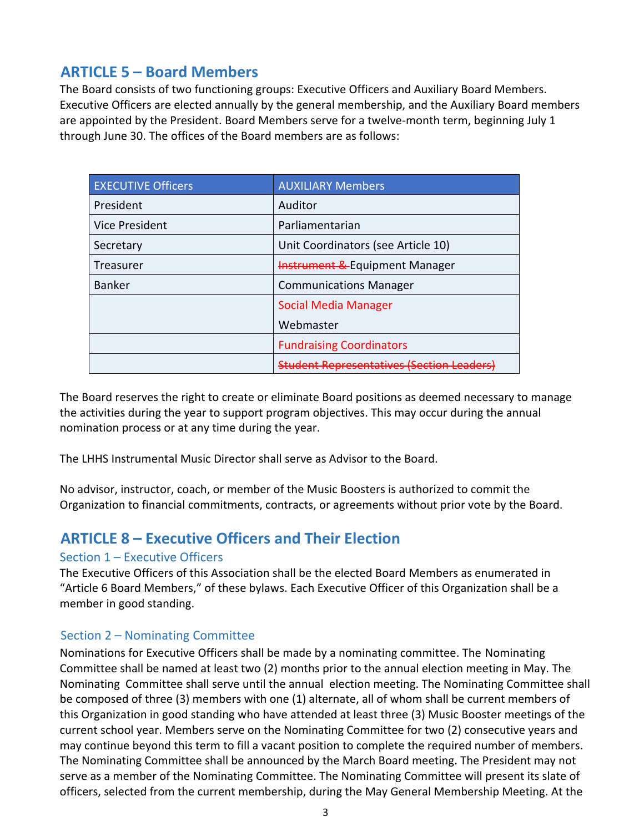# **ARTICLE 5 – Board Members**

The Board consists of two functioning groups: Executive Officers and Auxiliary Board Members. Executive Officers are elected annually by the general membership, and the Auxiliary Board members are appointed by the President. Board Members serve for a twelve-month term, beginning July 1 through June 30. The offices of the Board members are as follows:

| <b>EXECUTIVE Officers</b> | <b>AUXILIARY Members</b>                    |  |
|---------------------------|---------------------------------------------|--|
| President                 | Auditor                                     |  |
| Vice President            | Parliamentarian                             |  |
| Secretary                 | Unit Coordinators (see Article 10)          |  |
| Treasurer                 | <b>Instrument &amp; Equipment Manager</b>   |  |
| <b>Banker</b>             | <b>Communications Manager</b>               |  |
|                           | <b>Social Media Manager</b>                 |  |
|                           | Webmaster                                   |  |
|                           | <b>Fundraising Coordinators</b>             |  |
|                           | <b>Student Representatives (Section Lea</b> |  |

The Board reserves the right to create or eliminate Board positions as deemed necessary to manage the activities during the year to support program objectives. This may occur during the annual nomination process or at any time during the year.

The LHHS Instrumental Music Director shall serve as Advisor to the Board.

No advisor, instructor, coach, or member of the Music Boosters is authorized to commit the Organization to financial commitments, contracts, or agreements without prior vote by the Board.

# **ARTICLE 8 – Executive Officers and Their Election**

# Section 1 – Executive Officers

The Executive Officers of this Association shall be the elected Board Members as enumerated in "Article 6 Board Members," of these bylaws. Each Executive Officer of this Organization shall be a member in good standing.

# Section 2 – Nominating Committee

Nominations for Executive Officers shall be made by a nominating committee. The Nominating Committee shall be named at least two (2) months prior to the annual election meeting in May. The Nominating Committee shall serve until the annual election meeting. The Nominating Committee shall be composed of three (3) members with one (1) alternate, all of whom shall be current members of this Organization in good standing who have attended at least three (3) Music Booster meetings of the current school year. Members serve on the Nominating Committee for two (2) consecutive years and may continue beyond this term to fill a vacant position to complete the required number of members. The Nominating Committee shall be announced by the March Board meeting. The President may not serve as a member of the Nominating Committee. The Nominating Committee will present its slate of officers, selected from the current membership, during the May General Membership Meeting. At the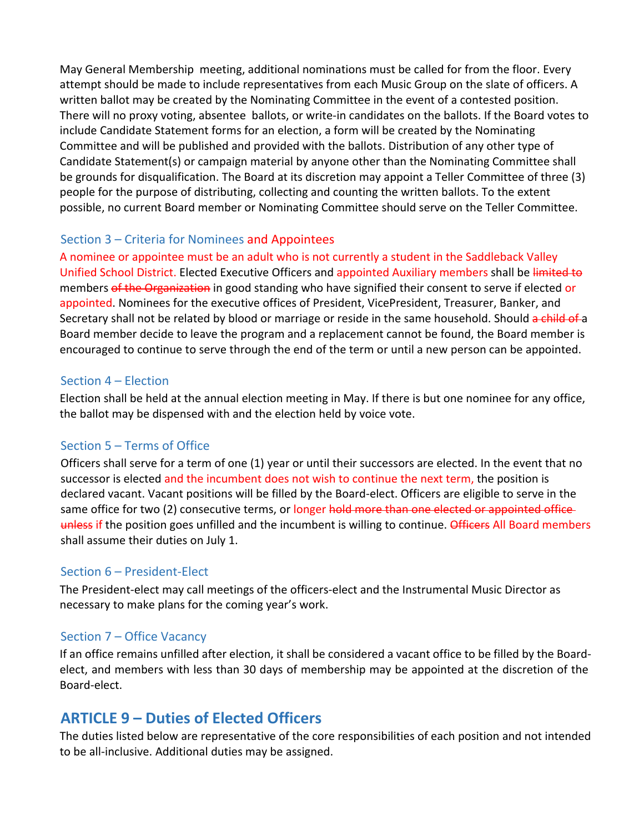May General Membership meeting, additional nominations must be called for from the floor. Every attempt should be made to include representatives from each Music Group on the slate of officers. A written ballot may be created by the Nominating Committee in the event of a contested position. There will no proxy voting, absentee ballots, or write‐in candidates on the ballots. If the Board votes to include Candidate Statement forms for an election, a form will be created by the Nominating Committee and will be published and provided with the ballots. Distribution of any other type of Candidate Statement(s) or campaign material by anyone other than the Nominating Committee shall be grounds for disqualification. The Board at its discretion may appoint a Teller Committee of three (3) people for the purpose of distributing, collecting and counting the written ballots. To the extent possible, no current Board member or Nominating Committee should serve on the Teller Committee.

# Section 3 – Criteria for Nominees and Appointees

A nominee or appointee must be an adult who is not currently a student in the Saddleback Valley Unified School District. Elected Executive Officers and appointed Auxiliary members shall be limited to members of the Organization in good standing who have signified their consent to serve if elected or appointed. Nominees for the executive offices of President, VicePresident, Treasurer, Banker, and Secretary shall not be related by blood or marriage or reside in the same household. Should a child of a Board member decide to leave the program and a replacement cannot be found, the Board member is encouraged to continue to serve through the end of the term or until a new person can be appointed.

#### Section 4 – Election

Election shall be held at the annual election meeting in May. If there is but one nominee for any office, the ballot may be dispensed with and the election held by voice vote.

# Section 5 – Terms of Office

Officers shall serve for a term of one (1) year or until their successors are elected. In the event that no successor is elected and the incumbent does not wish to continue the next term, the position is declared vacant. Vacant positions will be filled by the Board‐elect. Officers are eligible to serve in the same office for two (2) consecutive terms, or longer hold more than one elected or appointed office unless if the position goes unfilled and the incumbent is willing to continue. Officers All Board members shall assume their duties on July 1.

# Section 6 – President‐Elect

The President‐elect may call meetings of the officers‐elect and the Instrumental Music Director as necessary to make plans for the coming year's work.

# Section 7 – Office Vacancy

If an office remains unfilled after election, it shall be considered a vacant office to be filled by the Board‐ elect, and members with less than 30 days of membership may be appointed at the discretion of the Board‐elect.

# **ARTICLE 9 – Duties of Elected Officers**

The duties listed below are representative of the core responsibilities of each position and not intended to be all‐inclusive. Additional duties may be assigned.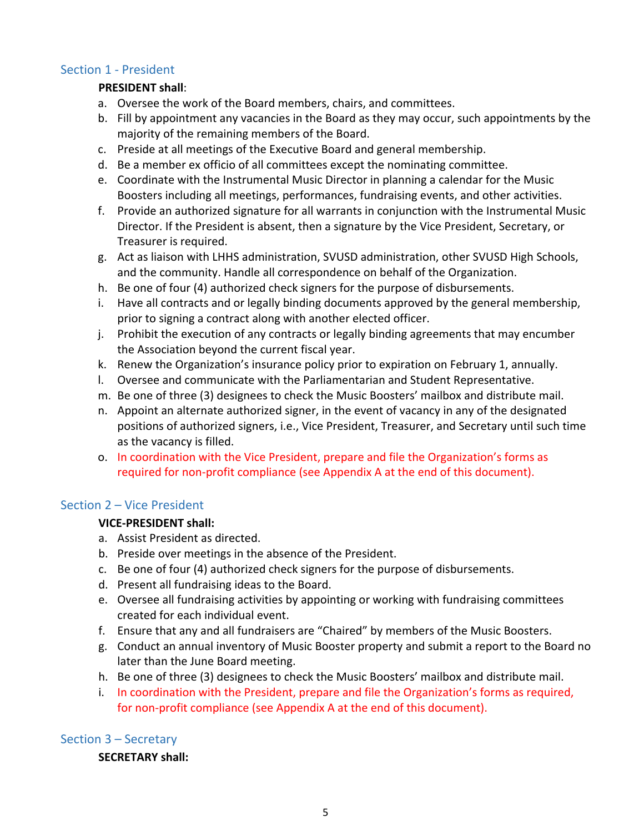#### Section 1 ‐ President

#### **PRESIDENT shall**:

- a. Oversee the work of the Board members, chairs, and committees.
- b. Fill by appointment any vacancies in the Board as they may occur, such appointments by the majority of the remaining members of the Board.
- c. Preside at all meetings of the Executive Board and general membership.
- d. Be a member ex officio of all committees except the nominating committee.
- e. Coordinate with the Instrumental Music Director in planning a calendar for the Music Boosters including all meetings, performances, fundraising events, and other activities.
- f. Provide an authorized signature for all warrants in conjunction with the Instrumental Music Director. If the President is absent, then a signature by the Vice President, Secretary, or Treasurer is required.
- g. Act as liaison with LHHS administration, SVUSD administration, other SVUSD High Schools, and the community. Handle all correspondence on behalf of the Organization.
- h. Be one of four (4) authorized check signers for the purpose of disbursements.
- i. Have all contracts and or legally binding documents approved by the general membership, prior to signing a contract along with another elected officer.
- j. Prohibit the execution of any contracts or legally binding agreements that may encumber the Association beyond the current fiscal year.
- k. Renew the Organization's insurance policy prior to expiration on February 1, annually.
- l. Oversee and communicate with the Parliamentarian and Student Representative.
- m. Be one of three (3) designees to check the Music Boosters' mailbox and distribute mail.
- n. Appoint an alternate authorized signer, in the event of vacancy in any of the designated positions of authorized signers, i.e., Vice President, Treasurer, and Secretary until such time as the vacancy is filled.
- o. In coordination with the Vice President, prepare and file the Organization's forms as required for non‐profit compliance (see Appendix A at the end of this document).

#### Section 2 – Vice President

#### **VICE‐PRESIDENT shall:**

- a. Assist President as directed.
- b. Preside over meetings in the absence of the President.
- c. Be one of four (4) authorized check signers for the purpose of disbursements.
- d. Present all fundraising ideas to the Board.
- e. Oversee all fundraising activities by appointing or working with fundraising committees created for each individual event.
- f. Ensure that any and all fundraisers are "Chaired" by members of the Music Boosters.
- g. Conduct an annual inventory of Music Booster property and submit a report to the Board no later than the June Board meeting.
- h. Be one of three (3) designees to check the Music Boosters' mailbox and distribute mail.
- i. In coordination with the President, prepare and file the Organization's forms as required, for non-profit compliance (see Appendix A at the end of this document).

# Section 3 – Secretary

#### **SECRETARY shall:**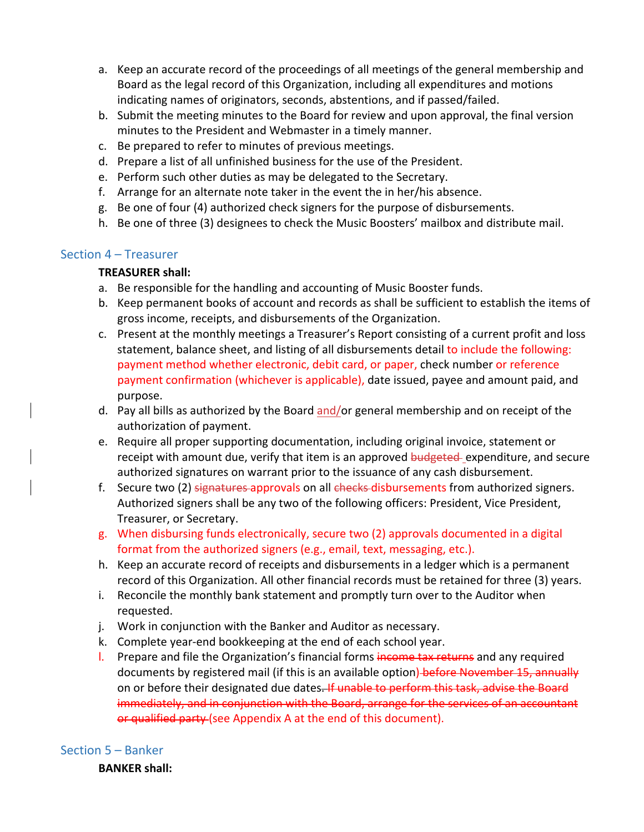- a. Keep an accurate record of the proceedings of all meetings of the general membership and Board as the legal record of this Organization, including all expenditures and motions indicating names of originators, seconds, abstentions, and if passed/failed.
- b. Submit the meeting minutes to the Board for review and upon approval, the final version minutes to the President and Webmaster in a timely manner.
- c. Be prepared to refer to minutes of previous meetings.
- d. Prepare a list of all unfinished business for the use of the President.
- e. Perform such other duties as may be delegated to the Secretary.
- f. Arrange for an alternate note taker in the event the in her/his absence.
- g. Be one of four (4) authorized check signers for the purpose of disbursements.
- h. Be one of three (3) designees to check the Music Boosters' mailbox and distribute mail.

#### Section 4 – Treasurer

#### **TREASURER shall:**

- a. Be responsible for the handling and accounting of Music Booster funds.
- b. Keep permanent books of account and records as shall be sufficient to establish the items of gross income, receipts, and disbursements of the Organization.
- c. Present at the monthly meetings a Treasurer's Report consisting of a current profit and loss statement, balance sheet, and listing of all disbursements detail to include the following: payment method whether electronic, debit card, or paper, check number or reference payment confirmation (whichever is applicable), date issued, payee and amount paid, and purpose.
- d. Pay all bills as authorized by the Board and/or general membership and on receipt of the authorization of payment.
- e. Require all proper supporting documentation, including original invoice, statement or receipt with amount due, verify that item is an approved budgeted expenditure, and secure authorized signatures on warrant prior to the issuance of any cash disbursement.
- f. Secure two (2) signatures approvals on all checks disbursements from authorized signers. Authorized signers shall be any two of the following officers: President, Vice President, Treasurer, or Secretary.
- g. When disbursing funds electronically, secure two (2) approvals documented in a digital format from the authorized signers (e.g., email, text, messaging, etc.).
- h. Keep an accurate record of receipts and disbursements in a ledger which is a permanent record of this Organization. All other financial records must be retained for three (3) years.
- i. Reconcile the monthly bank statement and promptly turn over to the Auditor when requested.
- j. Work in conjunction with the Banker and Auditor as necessary.
- k. Complete year-end bookkeeping at the end of each school year.
- l. Prepare and file the Organization's financial forms income tax returns and any required documents by registered mail (if this is an available option) before November 15, annually on or before their designated due dates. If unable to perform this task, advise the Board immediately, and in conjunction with the Board, arrange for the services of an accountant or qualified party (see Appendix A at the end of this document).

# Section 5 – Banker

**BANKER shall:**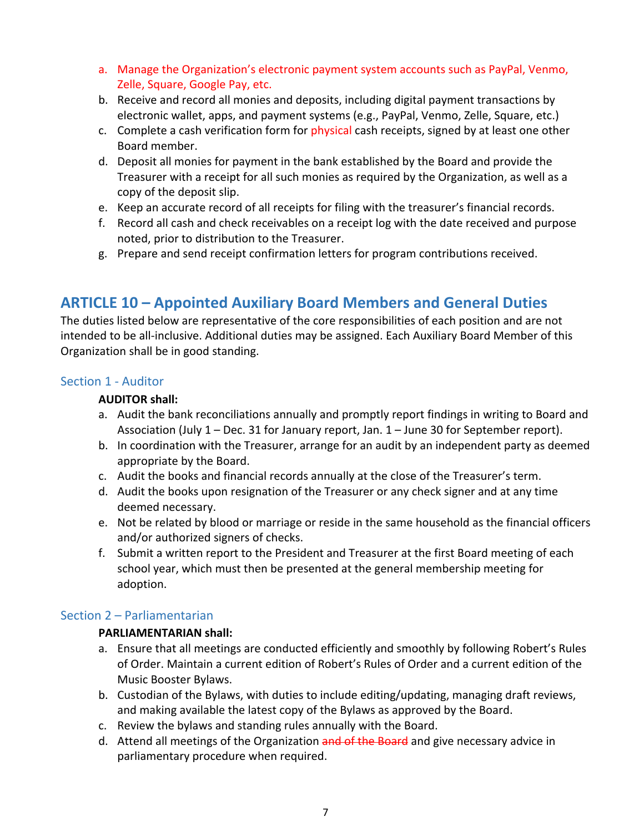- a. Manage the Organization's electronic payment system accounts such as PayPal, Venmo, Zelle, Square, Google Pay, etc.
- b. Receive and record all monies and deposits, including digital payment transactions by electronic wallet, apps, and payment systems (e.g., PayPal, Venmo, Zelle, Square, etc.)
- c. Complete a cash verification form for physical cash receipts, signed by at least one other Board member.
- d. Deposit all monies for payment in the bank established by the Board and provide the Treasurer with a receipt for all such monies as required by the Organization, as well as a copy of the deposit slip.
- e. Keep an accurate record of all receipts for filing with the treasurer's financial records.
- f. Record all cash and check receivables on a receipt log with the date received and purpose noted, prior to distribution to the Treasurer.
- g. Prepare and send receipt confirmation letters for program contributions received.

# **ARTICLE 10 – Appointed Auxiliary Board Members and General Duties**

The duties listed below are representative of the core responsibilities of each position and are not intended to be all‐inclusive. Additional duties may be assigned. Each Auxiliary Board Member of this Organization shall be in good standing.

#### Section 1 ‐ Auditor

#### **AUDITOR shall:**

- a. Audit the bank reconciliations annually and promptly report findings in writing to Board and Association (July 1 – Dec. 31 for January report, Jan. 1 – June 30 for September report).
- b. In coordination with the Treasurer, arrange for an audit by an independent party as deemed appropriate by the Board.
- c. Audit the books and financial records annually at the close of the Treasurer's term.
- d. Audit the books upon resignation of the Treasurer or any check signer and at any time deemed necessary.
- e. Not be related by blood or marriage or reside in the same household as the financial officers and/or authorized signers of checks.
- f. Submit a written report to the President and Treasurer at the first Board meeting of each school year, which must then be presented at the general membership meeting for adoption.

#### Section 2 – Parliamentarian

#### **PARLIAMENTARIAN shall:**

- a. Ensure that all meetings are conducted efficiently and smoothly by following Robert's Rules of Order. Maintain a current edition of Robert's Rules of Order and a current edition of the Music Booster Bylaws.
- b. Custodian of the Bylaws, with duties to include editing/updating, managing draft reviews, and making available the latest copy of the Bylaws as approved by the Board.
- c. Review the bylaws and standing rules annually with the Board.
- d. Attend all meetings of the Organization and of the Board and give necessary advice in parliamentary procedure when required.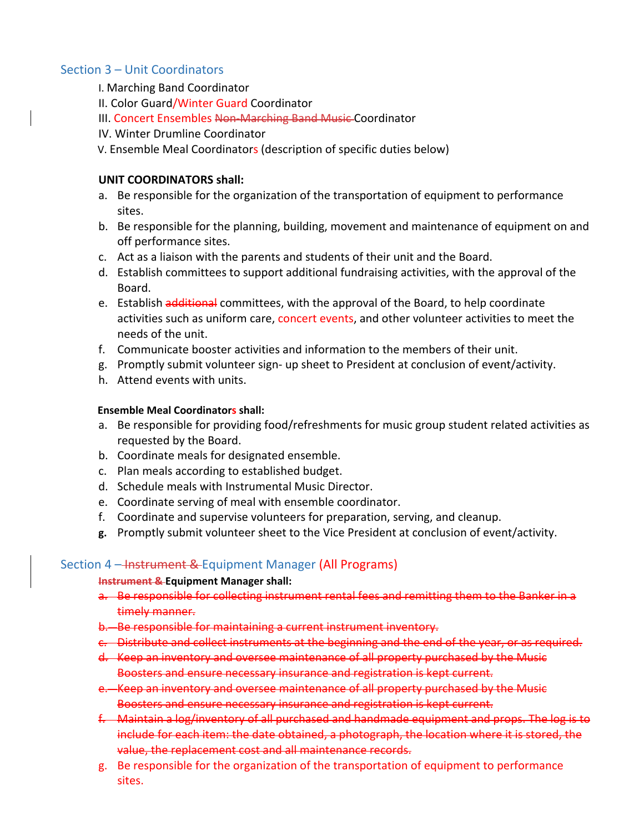#### Section 3 – Unit Coordinators

- I. Marching Band Coordinator
- II. Color Guard/Winter Guard Coordinator
- III. Concert Ensembles Non‐Marching Band Music Coordinator
- IV. Winter Drumline Coordinator
- V. Ensemble Meal Coordinators (description of specific duties below)

#### **UNIT COORDINATORS shall:**

- a. Be responsible for the organization of the transportation of equipment to performance sites.
- b. Be responsible for the planning, building, movement and maintenance of equipment on and off performance sites.
- c. Act as a liaison with the parents and students of their unit and the Board.
- d. Establish committees to support additional fundraising activities, with the approval of the Board.
- e. Establish additional committees, with the approval of the Board, to help coordinate activities such as uniform care, concert events, and other volunteer activities to meet the needs of the unit.
- f. Communicate booster activities and information to the members of their unit.
- g. Promptly submit volunteer sign‐ up sheet to President at conclusion of event/activity.
- h. Attend events with units.

#### **Ensemble Meal Coordinators shall:**

- a. Be responsible for providing food/refreshments for music group student related activities as requested by the Board.
- b. Coordinate meals for designated ensemble.
- c. Plan meals according to established budget.
- d. Schedule meals with Instrumental Music Director.
- e. Coordinate serving of meal with ensemble coordinator.
- f. Coordinate and supervise volunteers for preparation, serving, and cleanup.
- **g.** Promptly submit volunteer sheet to the Vice President at conclusion of event/activity.

#### Section 4 – Instrument & Equipment Manager (All Programs)

#### **Instrument & Equipment Manager shall:**

- a. Be responsible for collecting instrument rental fees and remitting them to the Banker in a timely manner.
- b. Be responsible for maintaining a current instrument inventory.
- c. Distribute and collect instruments at the beginning and the end of the year, or as required.
- d. Keep an inventory and oversee maintenance of all property purchased by the Music Boosters and ensure necessary insurance and registration is kept current.
- e. Keep an inventory and oversee maintenance of all property purchased by the Music Boosters and ensure necessary insurance and registration is kept current.
- f. Maintain a log/inventory of all purchased and handmade equipment and props. The log is to include for each item: the date obtained, a photograph, the location where it is stored, the value, the replacement cost and all maintenance records.
- g. Be responsible for the organization of the transportation of equipment to performance sites.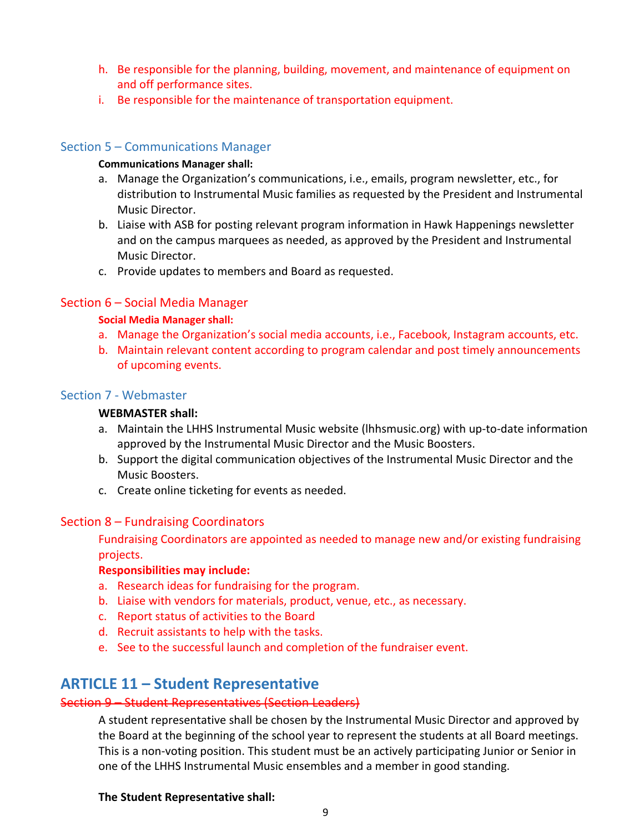- h. Be responsible for the planning, building, movement, and maintenance of equipment on and off performance sites.
- i. Be responsible for the maintenance of transportation equipment.

#### Section 5 – Communications Manager

#### **Communications Manager shall:**

- a. Manage the Organization's communications, i.e., emails, program newsletter, etc., for distribution to Instrumental Music families as requested by the President and Instrumental Music Director.
- b. Liaise with ASB for posting relevant program information in Hawk Happenings newsletter and on the campus marquees as needed, as approved by the President and Instrumental Music Director.
- c. Provide updates to members and Board as requested.

#### Section 6 – Social Media Manager

#### **Social Media Manager shall:**

- a. Manage the Organization's social media accounts, i.e., Facebook, Instagram accounts, etc.
- b. Maintain relevant content according to program calendar and post timely announcements of upcoming events.

#### Section 7 ‐ Webmaster

#### **WEBMASTER shall:**

- a. Maintain the LHHS Instrumental Music website (lhhsmusic.org) with up-to-date information approved by the Instrumental Music Director and the Music Boosters.
- b. Support the digital communication objectives of the Instrumental Music Director and the Music Boosters.
- c. Create online ticketing for events as needed.

#### Section 8 – Fundraising Coordinators

Fundraising Coordinators are appointed as needed to manage new and/or existing fundraising projects.

#### **Responsibilities may include:**

- a. Research ideas for fundraising for the program.
- b. Liaise with vendors for materials, product, venue, etc., as necessary.
- c. Report status of activities to the Board
- d. Recruit assistants to help with the tasks.
- e. See to the successful launch and completion of the fundraiser event.

# **ARTICLE 11 – Student Representative**

#### Section 9 – Student Representatives (Section Leaders)

A student representative shall be chosen by the Instrumental Music Director and approved by the Board at the beginning of the school year to represent the students at all Board meetings. This is a non‐voting position. This student must be an actively participating Junior or Senior in one of the LHHS Instrumental Music ensembles and a member in good standing.

#### **The Student Representative shall:**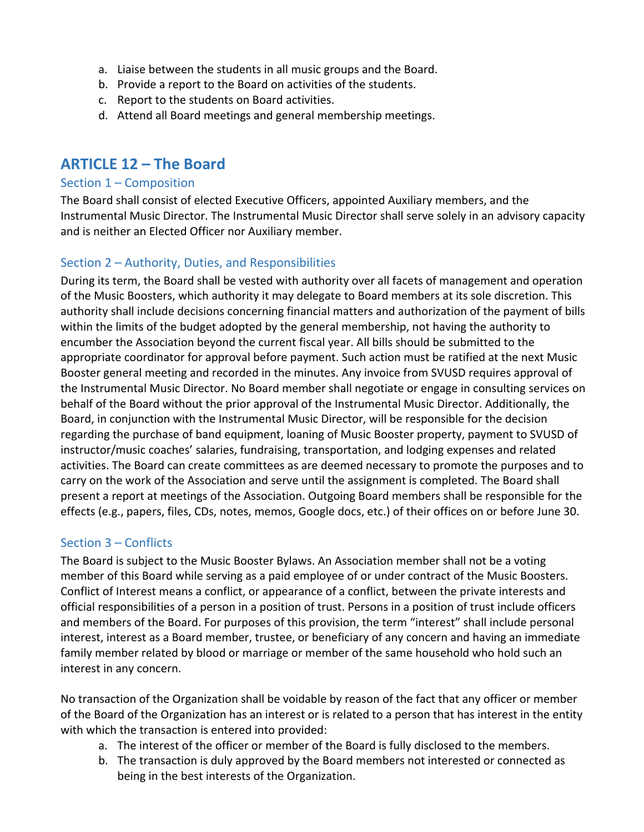- a. Liaise between the students in all music groups and the Board.
- b. Provide a report to the Board on activities of the students.
- c. Report to the students on Board activities.
- d. Attend all Board meetings and general membership meetings.

# **ARTICLE 12 – The Board**

#### Section 1 – Composition

The Board shall consist of elected Executive Officers, appointed Auxiliary members, and the Instrumental Music Director. The Instrumental Music Director shall serve solely in an advisory capacity and is neither an Elected Officer nor Auxiliary member.

# Section 2 – Authority, Duties, and Responsibilities

During its term, the Board shall be vested with authority over all facets of management and operation of the Music Boosters, which authority it may delegate to Board members at its sole discretion. This authority shall include decisions concerning financial matters and authorization of the payment of bills within the limits of the budget adopted by the general membership, not having the authority to encumber the Association beyond the current fiscal year. All bills should be submitted to the appropriate coordinator for approval before payment. Such action must be ratified at the next Music Booster general meeting and recorded in the minutes. Any invoice from SVUSD requires approval of the Instrumental Music Director. No Board member shall negotiate or engage in consulting services on behalf of the Board without the prior approval of the Instrumental Music Director. Additionally, the Board, in conjunction with the Instrumental Music Director, will be responsible for the decision regarding the purchase of band equipment, loaning of Music Booster property, payment to SVUSD of instructor/music coaches' salaries, fundraising, transportation, and lodging expenses and related activities. The Board can create committees as are deemed necessary to promote the purposes and to carry on the work of the Association and serve until the assignment is completed. The Board shall present a report at meetings of the Association. Outgoing Board members shall be responsible for the effects (e.g., papers, files, CDs, notes, memos, Google docs, etc.) of their offices on or before June 30.

#### Section 3 – Conflicts

The Board is subject to the Music Booster Bylaws. An Association member shall not be a voting member of this Board while serving as a paid employee of or under contract of the Music Boosters. Conflict of Interest means a conflict, or appearance of a conflict, between the private interests and official responsibilities of a person in a position of trust. Persons in a position of trust include officers and members of the Board. For purposes of this provision, the term "interest" shall include personal interest, interest as a Board member, trustee, or beneficiary of any concern and having an immediate family member related by blood or marriage or member of the same household who hold such an interest in any concern.

No transaction of the Organization shall be voidable by reason of the fact that any officer or member of the Board of the Organization has an interest or is related to a person that has interest in the entity with which the transaction is entered into provided:

- a. The interest of the officer or member of the Board is fully disclosed to the members.
- b. The transaction is duly approved by the Board members not interested or connected as being in the best interests of the Organization.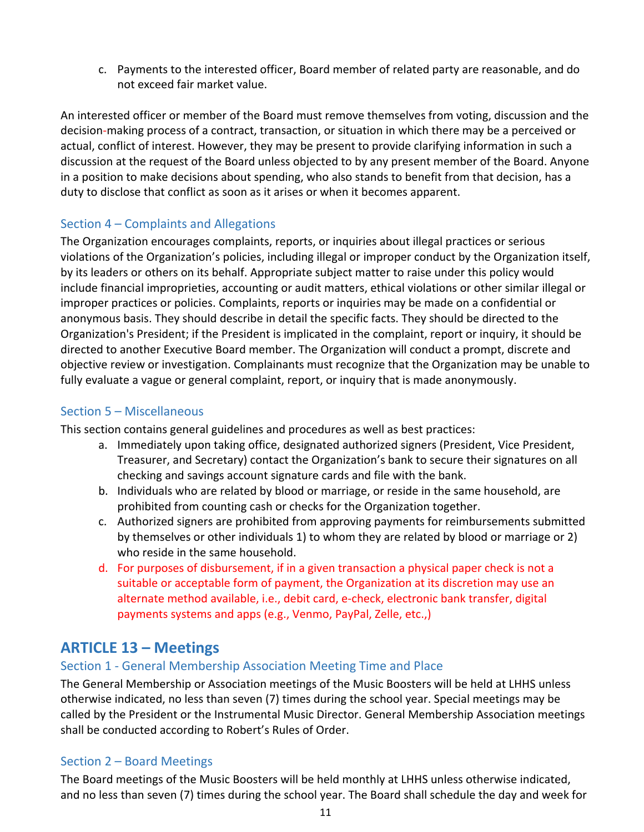c. Payments to the interested officer, Board member of related party are reasonable, and do not exceed fair market value.

An interested officer or member of the Board must remove themselves from voting, discussion and the decision‐making process of a contract, transaction, or situation in which there may be a perceived or actual, conflict of interest. However, they may be present to provide clarifying information in such a discussion at the request of the Board unless objected to by any present member of the Board. Anyone in a position to make decisions about spending, who also stands to benefit from that decision, has a duty to disclose that conflict as soon as it arises or when it becomes apparent.

## Section 4 – Complaints and Allegations

The Organization encourages complaints, reports, or inquiries about illegal practices or serious violations of the Organization's policies, including illegal or improper conduct by the Organization itself, by its leaders or others on its behalf. Appropriate subject matter to raise under this policy would include financial improprieties, accounting or audit matters, ethical violations or other similar illegal or improper practices or policies. Complaints, reports or inquiries may be made on a confidential or anonymous basis. They should describe in detail the specific facts. They should be directed to the Organization's President; if the President is implicated in the complaint, report or inquiry, it should be directed to another Executive Board member. The Organization will conduct a prompt, discrete and objective review or investigation. Complainants must recognize that the Organization may be unable to fully evaluate a vague or general complaint, report, or inquiry that is made anonymously.

# Section 5 – Miscellaneous

This section contains general guidelines and procedures as well as best practices:

- a. Immediately upon taking office, designated authorized signers (President, Vice President, Treasurer, and Secretary) contact the Organization's bank to secure their signatures on all checking and savings account signature cards and file with the bank.
- b. Individuals who are related by blood or marriage, or reside in the same household, are prohibited from counting cash or checks for the Organization together.
- c. Authorized signers are prohibited from approving payments for reimbursements submitted by themselves or other individuals 1) to whom they are related by blood or marriage or 2) who reside in the same household.
- d. For purposes of disbursement, if in a given transaction a physical paper check is not a suitable or acceptable form of payment, the Organization at its discretion may use an alternate method available, i.e., debit card, e‐check, electronic bank transfer, digital payments systems and apps (e.g., Venmo, PayPal, Zelle, etc.,)

# **ARTICLE 13 – Meetings**

# Section 1 ‐ General Membership Association Meeting Time and Place

The General Membership or Association meetings of the Music Boosters will be held at LHHS unless otherwise indicated, no less than seven (7) times during the school year. Special meetings may be called by the President or the Instrumental Music Director. General Membership Association meetings shall be conducted according to Robert's Rules of Order.

#### Section 2 – Board Meetings

The Board meetings of the Music Boosters will be held monthly at LHHS unless otherwise indicated, and no less than seven (7) times during the school year. The Board shall schedule the day and week for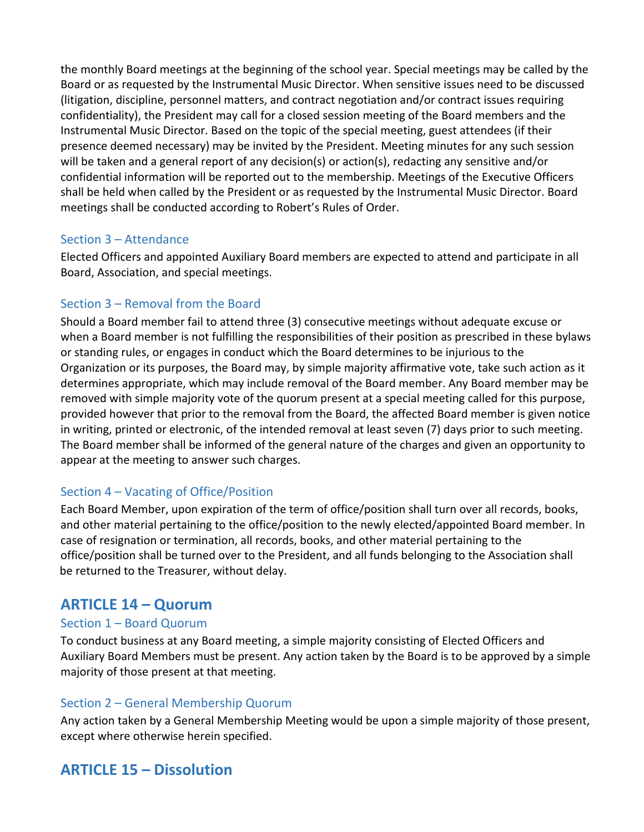the monthly Board meetings at the beginning of the school year. Special meetings may be called by the Board or as requested by the Instrumental Music Director. When sensitive issues need to be discussed (litigation, discipline, personnel matters, and contract negotiation and/or contract issues requiring confidentiality), the President may call for a closed session meeting of the Board members and the Instrumental Music Director. Based on the topic of the special meeting, guest attendees (if their presence deemed necessary) may be invited by the President. Meeting minutes for any such session will be taken and a general report of any decision(s) or action(s), redacting any sensitive and/or confidential information will be reported out to the membership. Meetings of the Executive Officers shall be held when called by the President or as requested by the Instrumental Music Director. Board meetings shall be conducted according to Robert's Rules of Order.

# Section 3 – Attendance

Elected Officers and appointed Auxiliary Board members are expected to attend and participate in all Board, Association, and special meetings.

## Section 3 – Removal from the Board

Should a Board member fail to attend three (3) consecutive meetings without adequate excuse or when a Board member is not fulfilling the responsibilities of their position as prescribed in these bylaws or standing rules, or engages in conduct which the Board determines to be injurious to the Organization or its purposes, the Board may, by simple majority affirmative vote, take such action as it determines appropriate, which may include removal of the Board member. Any Board member may be removed with simple majority vote of the quorum present at a special meeting called for this purpose, provided however that prior to the removal from the Board, the affected Board member is given notice in writing, printed or electronic, of the intended removal at least seven (7) days prior to such meeting. The Board member shall be informed of the general nature of the charges and given an opportunity to appear at the meeting to answer such charges.

# Section 4 – Vacating of Office/Position

Each Board Member, upon expiration of the term of office/position shall turn over all records, books, and other material pertaining to the office/position to the newly elected/appointed Board member. In case of resignation or termination, all records, books, and other material pertaining to the office/position shall be turned over to the President, and all funds belonging to the Association shall be returned to the Treasurer, without delay.

# **ARTICLE 14 – Quorum**

#### Section 1 – Board Quorum

To conduct business at any Board meeting, a simple majority consisting of Elected Officers and Auxiliary Board Members must be present. Any action taken by the Board is to be approved by a simple majority of those present at that meeting.

#### Section 2 – General Membership Quorum

Any action taken by a General Membership Meeting would be upon a simple majority of those present, except where otherwise herein specified.

# **ARTICLE 15 – Dissolution**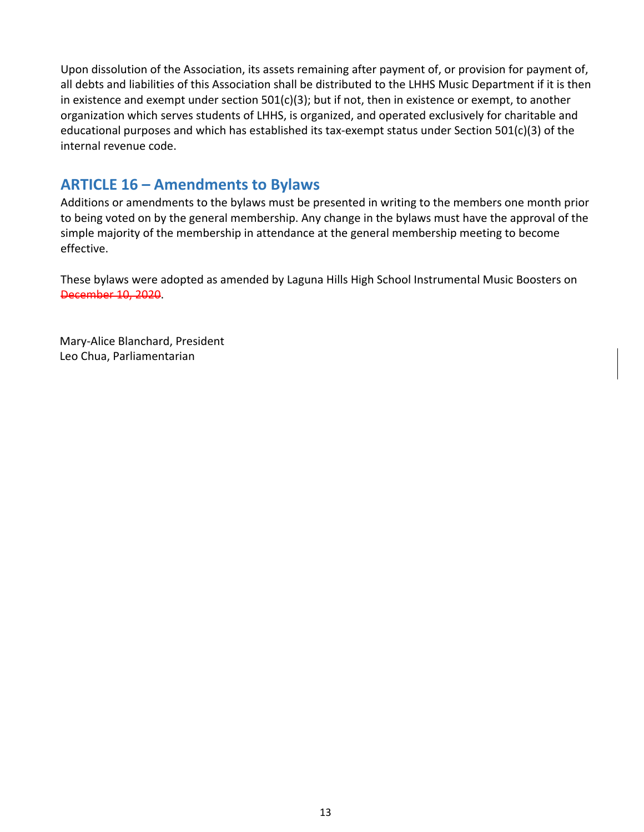Upon dissolution of the Association, its assets remaining after payment of, or provision for payment of, all debts and liabilities of this Association shall be distributed to the LHHS Music Department if it is then in existence and exempt under section 501(c)(3); but if not, then in existence or exempt, to another organization which serves students of LHHS, is organized, and operated exclusively for charitable and educational purposes and which has established its tax-exempt status under Section 501(c)(3) of the internal revenue code.

# **ARTICLE 16 – Amendments to Bylaws**

Additions or amendments to the bylaws must be presented in writing to the members one month prior to being voted on by the general membership. Any change in the bylaws must have the approval of the simple majority of the membership in attendance at the general membership meeting to become effective.

These bylaws were adopted as amended by Laguna Hills High School Instrumental Music Boosters on December 10, 2020.

Mary‐Alice Blanchard, President Leo Chua, Parliamentarian